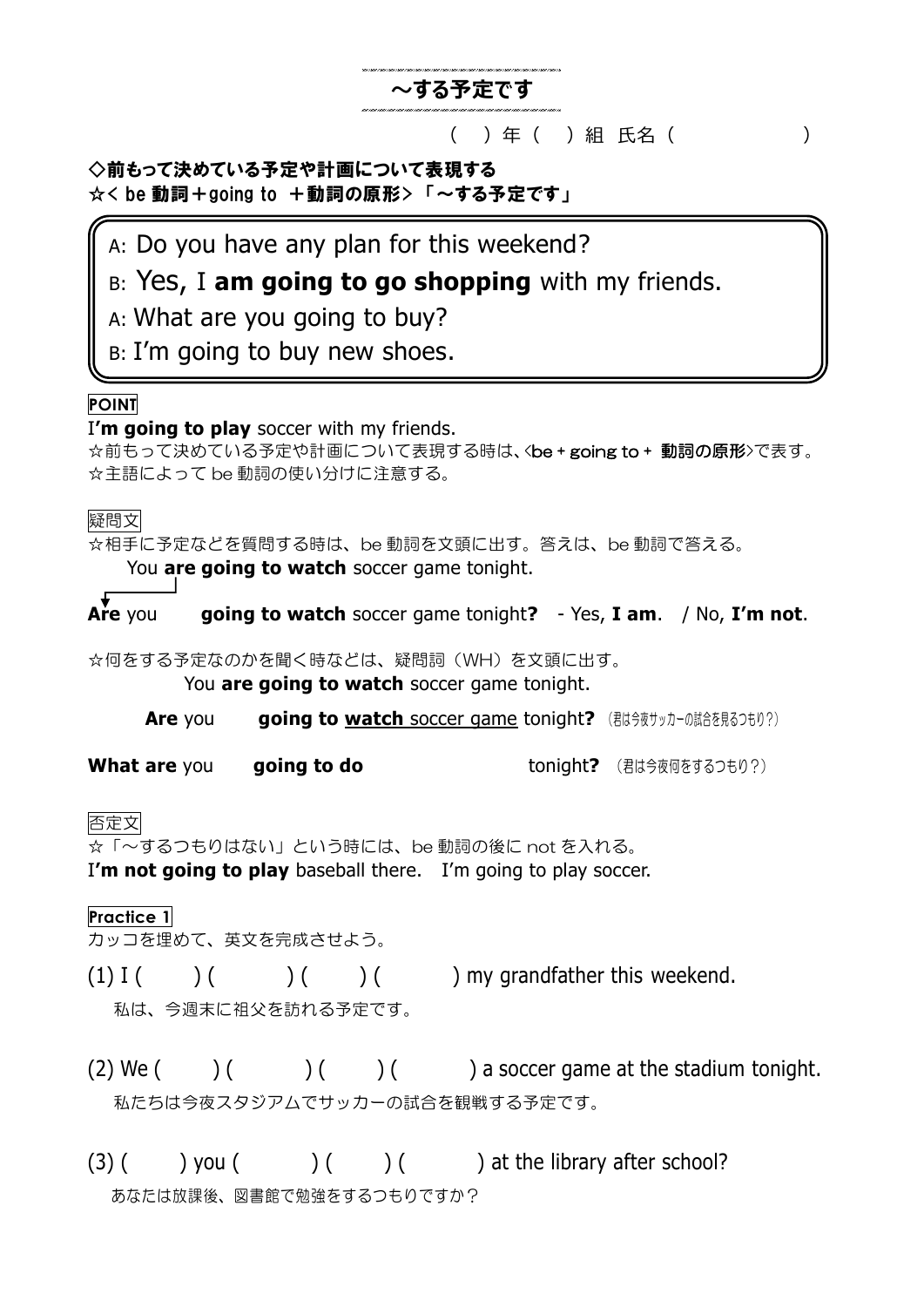# **~する予定です**

#### ( ) 年 ( ) 組 氏名 ( )

◇前もって決めている予定や計画について表現する ☆< be 動詞+going to +動詞の原形> 「~する予定です」

# A: Do you have any plan for this weekend?

# B: Yes, I **am going to go shopping** with my friends.

A: What are you going to buy?

B: I'm going to buy new shoes.

## **POINT**

I**'m going to play** soccer with my friends.

☆前もって決めている予定や計画について表現する時は、<be + going to + 動詞の原形>で表す。 ☆主語によって be 動詞の使い分けに注意する。

#### 疑問文

☆相手に予定などを質問する時は、be 動詞を文頭に出す。答えは、be 動詞で答える。 You **are going to watch** soccer game tonight.

**Are** you **are going to watch** soccer game tonight**?** - Yes, **I am**. / No, **I'm not**.

☆何をする予定なのかを聞く時などは、疑問詞(WH)を文頭に出す。

You **are going to watch** soccer game tonight.

**Are** you **going to watch soccer game tonight?** (君は今夜サッカーの試合を見るつもり?)

**What are you are going to do** tonight? (君は今夜何をするつもり?)

## 否定文

☆「~するつもりはない」という時には、be 動詞の後に not を入れる。

I'm not going to play baseball there. I'm going to play soccer.

## **Practice 1**

カッコを埋めて、英文を完成させよう。

 $(1) I($  ) ( ) ( ) ( ) my grandfather this weekend.

私は、今週末に祖父を訪れる予定です。

 $(2)$  We  $($  )  $($   $)$   $($   $)$   $($   $)$   $($   $)$  a soccer game at the stadium tonight. 私たちは今夜スタジアムでサッカーの試合を観戦する予定です。

 $(3)$  ( ) you ( ) ( ) ( ) at the library after school? あなたは放課後、図書館で勉強をするつもりですか?